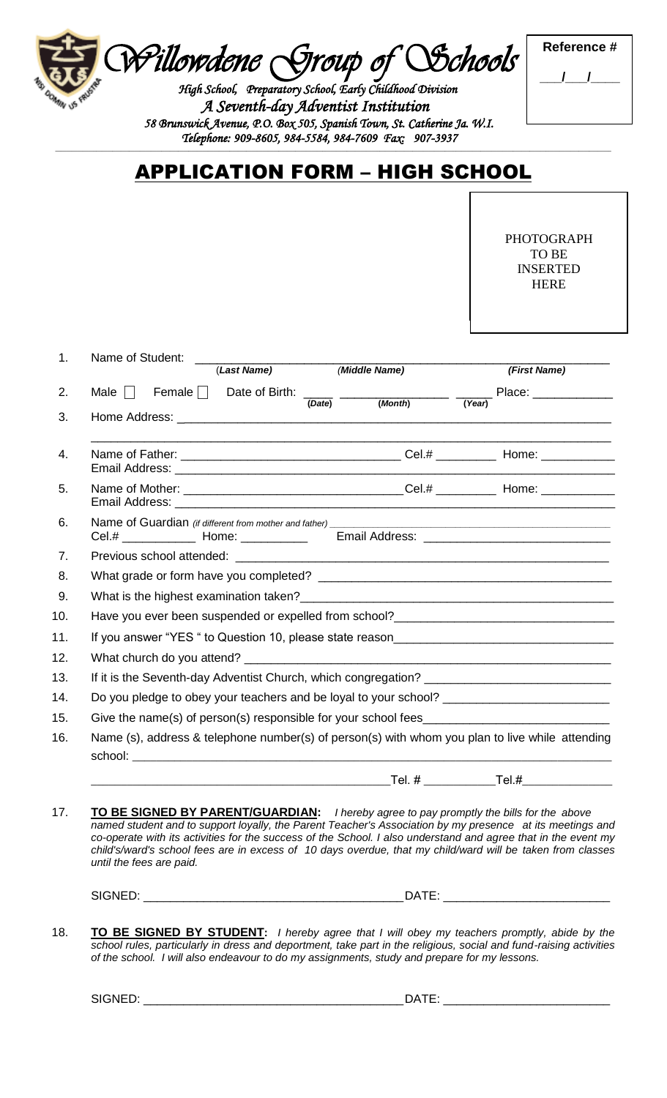*Willowdene Group of Schools* 

 *High School, Preparatory School, Early Childhood Division A Seventh-day Adventist Institution 58 Brunswick Avenue, P.O. Box 505, Spanish Town, St. Catherine Ja. W.I. Telephone: 909-8605, 984-5584, 984-7609 Fax: 907-3937* 

| <b>Reference</b> # |  |  |  |  |
|--------------------|--|--|--|--|
|                    |  |  |  |  |
|                    |  |  |  |  |

## APPLICATION FORM – HIGH SCHOOL

**\_\_\_\_\_\_\_\_\_\_\_\_\_\_\_\_\_\_\_\_\_\_\_\_\_\_\_\_\_\_\_\_\_\_\_\_\_\_\_\_\_\_\_\_\_\_\_\_\_\_\_\_\_\_\_\_\_\_\_\_\_\_\_\_\_\_\_\_\_\_\_\_\_\_\_\_\_\_\_\_\_\_\_\_\_\_\_\_\_\_\_\_\_\_\_\_\_\_\_\_\_\_\_\_\_\_\_\_\_\_\_\_\_\_\_\_\_\_\_\_\_\_\_\_\_\_\_\_\_\_\_\_\_\_\_\_\_\_\_\_\_\_\_\_\_\_\_\_\_\_\_\_\_\_\_\_\_\_\_\_\_\_\_\_\_\_\_\_\_\_\_\_\_\_\_\_\_\_\_\_\_\_\_\_\_\_\_\_\_\_\_\_\_\_\_\_\_\_\_\_\_\_\_\_**

PHOTOGRAPH TO BE INSERTED HERE

| 1.             | Name of Student: ___________________                                                                                                                                                                                                                                                                                                                                                                                                                             |  |              |  |
|----------------|------------------------------------------------------------------------------------------------------------------------------------------------------------------------------------------------------------------------------------------------------------------------------------------------------------------------------------------------------------------------------------------------------------------------------------------------------------------|--|--------------|--|
|                | (Last Name) (Middle Name)                                                                                                                                                                                                                                                                                                                                                                                                                                        |  | (First Name) |  |
| 2.             | Male $\Box$ Female $\Box$ Date of Birth: $\frac{1}{(Date)}$ $\frac{1}{(Month)}$ $\frac{1}{(Year)}$ Place: __________                                                                                                                                                                                                                                                                                                                                             |  |              |  |
| 3.             |                                                                                                                                                                                                                                                                                                                                                                                                                                                                  |  |              |  |
| 4.             |                                                                                                                                                                                                                                                                                                                                                                                                                                                                  |  |              |  |
| 5.             |                                                                                                                                                                                                                                                                                                                                                                                                                                                                  |  |              |  |
| 6.             | Cel.# _______________ Home: ________________ Email Address: _____________________                                                                                                                                                                                                                                                                                                                                                                                |  |              |  |
| 7 <sub>1</sub> |                                                                                                                                                                                                                                                                                                                                                                                                                                                                  |  |              |  |
| 8.             |                                                                                                                                                                                                                                                                                                                                                                                                                                                                  |  |              |  |
| 9.             |                                                                                                                                                                                                                                                                                                                                                                                                                                                                  |  |              |  |
| 10.            |                                                                                                                                                                                                                                                                                                                                                                                                                                                                  |  |              |  |
| 11.            | If you answer "YES " to Question 10, please state reason                                                                                                                                                                                                                                                                                                                                                                                                         |  |              |  |
| 12.            |                                                                                                                                                                                                                                                                                                                                                                                                                                                                  |  |              |  |
| 13.            |                                                                                                                                                                                                                                                                                                                                                                                                                                                                  |  |              |  |
| 14.            | Do you pledge to obey your teachers and be loyal to your school? ______________________                                                                                                                                                                                                                                                                                                                                                                          |  |              |  |
| 15.            |                                                                                                                                                                                                                                                                                                                                                                                                                                                                  |  |              |  |
| 16.            | Name (s), address & telephone number(s) of person(s) with whom you plan to live while attending                                                                                                                                                                                                                                                                                                                                                                  |  |              |  |
|                |                                                                                                                                                                                                                                                                                                                                                                                                                                                                  |  |              |  |
| 17.            | TO BE SIGNED BY PARENT/GUARDIAN: I hereby agree to pay promptly the bills for the above<br>named student and to support loyally, the Parent Teacher's Association by my presence at its meetings and<br>co-operate with its activities for the success of the School. I also understand and agree that in the event my<br>child's/ward's school fees are in excess of 10 days overdue, that my child/ward will be taken from classes<br>until the fees are paid. |  |              |  |
|                |                                                                                                                                                                                                                                                                                                                                                                                                                                                                  |  |              |  |

18. **TO BE SIGNED BY STUDENT:** *I hereby agree that I will obey my teachers promptly, abide by the school rules, particularly in dress and deportment, take part in the religious, social and fund-raising activities of the school. I will also endeavour to do my assignments, study and prepare for my lessons.*

SIGNED: \_\_\_\_\_\_\_\_\_\_\_\_\_\_\_\_\_\_\_\_\_\_\_\_\_\_\_\_\_\_\_\_\_\_\_\_\_\_\_DATE: \_\_\_\_\_\_\_\_\_\_\_\_\_\_\_\_\_\_\_\_\_\_\_\_\_